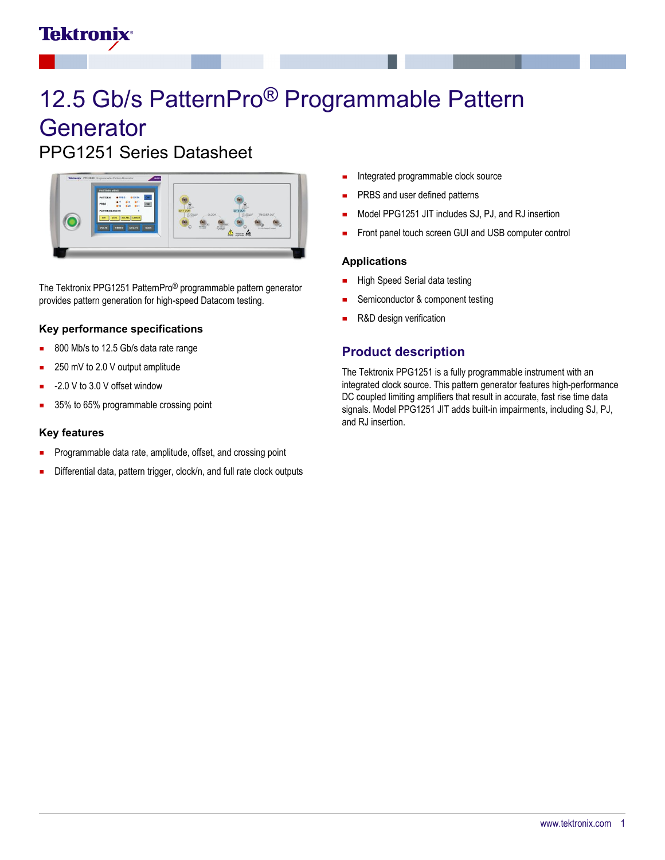## **Tektronix**

# 12.5 Gb/s PatternPro<sup>®</sup> Programmable Pattern **Generator**

PPG1251 Series Datasheet



The Tektronix PPG1251 PatternPro® programmable pattern generator provides pattern generation for high-speed Datacom testing.

#### **Key performance specifications**

- 800 Mb/s to 12.5 Gb/s data rate range П
- 250 mV to 2.0 V output amplitude
- -2.0 V to 3.0 V offset window
- 35% to 65% programmable crossing point

#### **Key features**

- Programmable data rate, amplitude, offset, and crossing point
- Differential data, pattern trigger, clock/n, and full rate clock outputs
- Integrated programmable clock source
- PRBS and user defined patterns
- Model PPG1251 JIT includes SJ, PJ, and RJ insertion
- Front panel touch screen GUI and USB computer control

#### **Applications**

- High Speed Serial data testing
- Semiconductor & component testing
- R&D design verification

## **Product description**

The Tektronix PPG1251 is a fully programmable instrument with an integrated clock source. This pattern generator features high-performance DC coupled limiting amplifiers that result in accurate, fast rise time data signals. Model PPG1251 JIT adds built-in impairments, including SJ, PJ, and RJ insertion.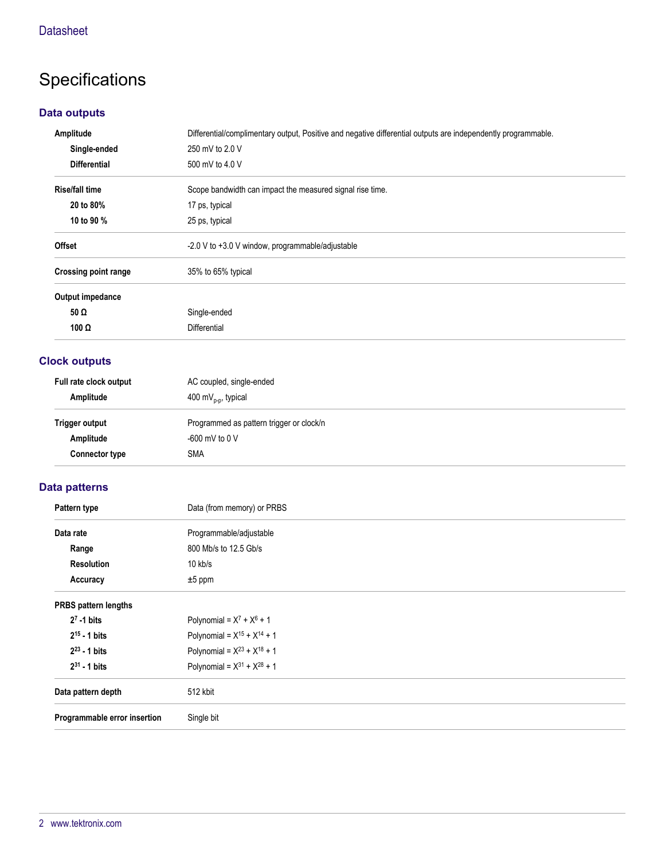## Specifications

#### **Data outputs**

| Amplitude                   | Differential/complimentary output, Positive and negative differential outputs are independently programmable. |  |
|-----------------------------|---------------------------------------------------------------------------------------------------------------|--|
| Single-ended                | 250 mV to 2.0 V                                                                                               |  |
| <b>Differential</b>         | 500 mV to 4.0 V                                                                                               |  |
| <b>Rise/fall time</b>       | Scope bandwidth can impact the measured signal rise time.                                                     |  |
| 20 to 80%                   | 17 ps, typical                                                                                                |  |
| 10 to 90 %                  | 25 ps, typical                                                                                                |  |
| <b>Offset</b>               | -2.0 V to $+3.0$ V window, programmable/adjustable                                                            |  |
| <b>Crossing point range</b> | 35% to 65% typical                                                                                            |  |
| Output impedance            |                                                                                                               |  |
| 50 $\Omega$                 | Single-ended                                                                                                  |  |
| 100 Ω                       | <b>Differential</b>                                                                                           |  |

## **Clock outputs**

| Full rate clock output | AC coupled, single-ended                 |
|------------------------|------------------------------------------|
| Amplitude              | 400 mV <sub>p-p</sub> , typical          |
| Trigger output         | Programmed as pattern trigger or clock/n |
| Amplitude              | -600 mV to 0 V                           |
| <b>Connector type</b>  | <b>SMA</b>                               |

## **Data patterns**

| Pattern type                 | Data (from memory) or PRBS           |
|------------------------------|--------------------------------------|
| Data rate                    | Programmable/adjustable              |
| Range                        | 800 Mb/s to 12.5 Gb/s                |
| <b>Resolution</b>            | $10$ kb/s                            |
| Accuracy                     | $±5$ ppm                             |
| <b>PRBS</b> pattern lengths  |                                      |
| $2^7$ -1 bits                | Polynomial = $X^7 + X^6 + 1$         |
| $2^{15} - 1$ bits            | Polynomial = $X^{15} + X^{14} + 1$   |
| $2^{23} - 1$ bits            | Polynomial = $X^{23}$ + $X^{18}$ + 1 |
| $2^{31}$ - 1 bits            | Polynomial = $X^{31}$ + $X^{28}$ + 1 |
| Data pattern depth           | 512 kbit                             |
| Programmable error insertion | Single bit                           |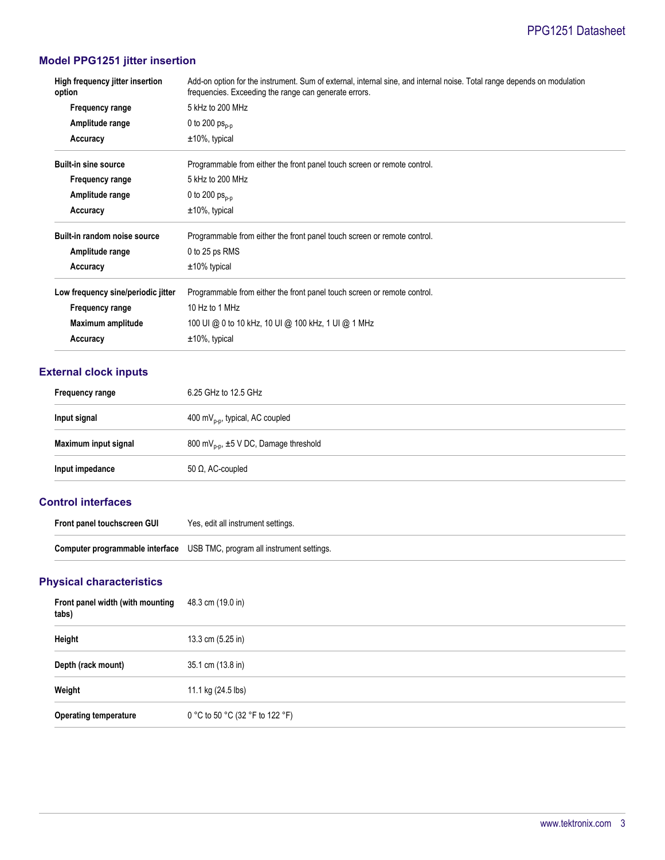#### **Model PPG1251 jitter insertion**

| High frequency jitter insertion<br>option  | Add-on option for the instrument. Sum of external, internal sine, and internal noise. Total range depends on modulation<br>frequencies. Exceeding the range can generate errors. |  |
|--------------------------------------------|----------------------------------------------------------------------------------------------------------------------------------------------------------------------------------|--|
| 5 kHz to 200 MHz<br><b>Frequency range</b> |                                                                                                                                                                                  |  |
| Amplitude range                            | 0 to 200 $ps_{p-p}$                                                                                                                                                              |  |
| Accuracy                                   | $±10\%$ , typical                                                                                                                                                                |  |
| <b>Built-in sine source</b>                | Programmable from either the front panel touch screen or remote control.                                                                                                         |  |
| <b>Frequency range</b>                     | 5 kHz to 200 MHz                                                                                                                                                                 |  |
| Amplitude range                            | 0 to 200 $ps_{p-p}$                                                                                                                                                              |  |
| Accuracy                                   | $±10\%$ , typical                                                                                                                                                                |  |
| Built-in random noise source               | Programmable from either the front panel touch screen or remote control.                                                                                                         |  |
| Amplitude range                            | 0 to 25 ps RMS                                                                                                                                                                   |  |
| Accuracy                                   | $±10\%$ typical                                                                                                                                                                  |  |
| Low frequency sine/periodic jitter         | Programmable from either the front panel touch screen or remote control.                                                                                                         |  |
| <b>Frequency range</b>                     | 10 Hz to 1 MHz                                                                                                                                                                   |  |
| Maximum amplitude                          | 100 UI @ 0 to 10 kHz, 10 UI @ 100 kHz, 1 UI @ 1 MHz                                                                                                                              |  |
| Accuracy                                   | $±10\%$ , typical                                                                                                                                                                |  |

## **External clock inputs**

| <b>Frequency range</b> | 6.25 GHz to 12.5 GHz                                   |  |
|------------------------|--------------------------------------------------------|--|
| Input signal           | 400 m $V_{p-p}$ , typical, AC coupled                  |  |
| Maximum input signal   | 800 mV <sub>p-p</sub> , $\pm$ 5 V DC, Damage threshold |  |
| Input impedance        | 50 $\Omega$ , AC-coupled                               |  |

#### **Control interfaces**

| Front panel touchscreen GUI | Yes, edit all instrument settings.                                               |  |
|-----------------------------|----------------------------------------------------------------------------------|--|
|                             | <b>Computer programmable interface</b> USB TMC, program all instrument settings. |  |

## **Physical characteristics**

| Front panel width (with mounting<br>tabs) | 48.3 cm (19.0 in)               |
|-------------------------------------------|---------------------------------|
| Height                                    | 13.3 cm $(5.25 \text{ in})$     |
| Depth (rack mount)                        | 35.1 cm (13.8 in)               |
| Weight                                    | 11.1 kg (24.5 lbs)              |
| <b>Operating temperature</b>              | 0 °C to 50 °C (32 °F to 122 °F) |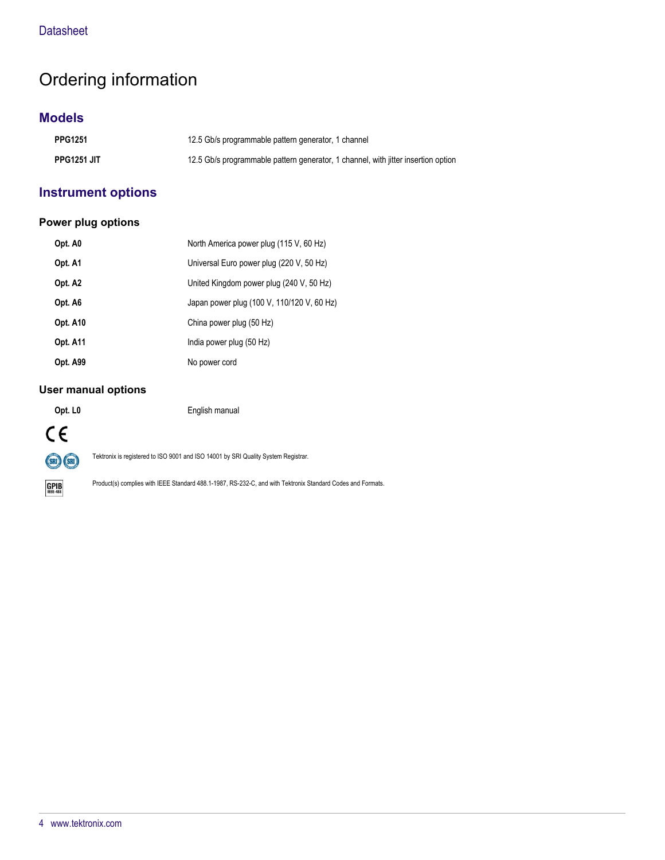## Ordering information

## **Models**

| <b>PPG1251</b> | 12.5 Gb/s programmable pattern generator, 1 channel                               |
|----------------|-----------------------------------------------------------------------------------|
| PPG1251 JIT    | 12.5 Gb/s programmable pattern generator, 1 channel, with jitter insertion option |

## **Instrument options**

#### **Power plug options**

| Opt. A0             | North America power plug (115 V, 60 Hz)    |
|---------------------|--------------------------------------------|
| Opt. A1             | Universal Euro power plug (220 V, 50 Hz)   |
| Opt. A <sub>2</sub> | United Kingdom power plug (240 V, 50 Hz)   |
| Opt. A6             | Japan power plug (100 V, 110/120 V, 60 Hz) |
| Opt. A10            | China power plug (50 Hz)                   |
| <b>Opt. A11</b>     | India power plug (50 Hz)                   |
| Opt. A99            | No power cord                              |

#### **User manual options**

**Opt. L0** English manual



 $GPIB$ 

Tektronix is registered to ISO 9001 and ISO 14001 by SRI Quality System Registrar.

Product(s) complies with IEEE Standard 488.1-1987, RS-232-C, and with Tektronix Standard Codes and Formats.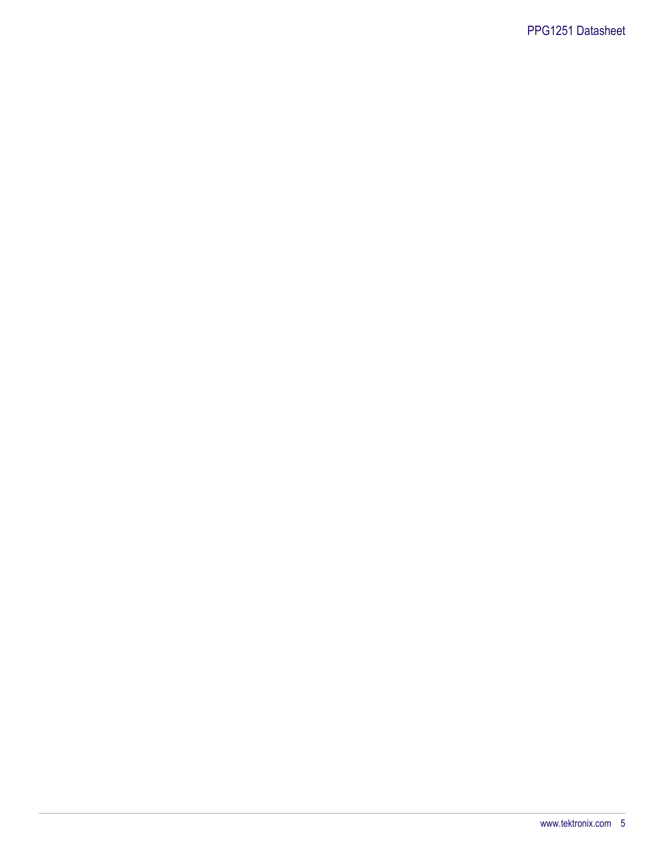PPG1251 Datasheet